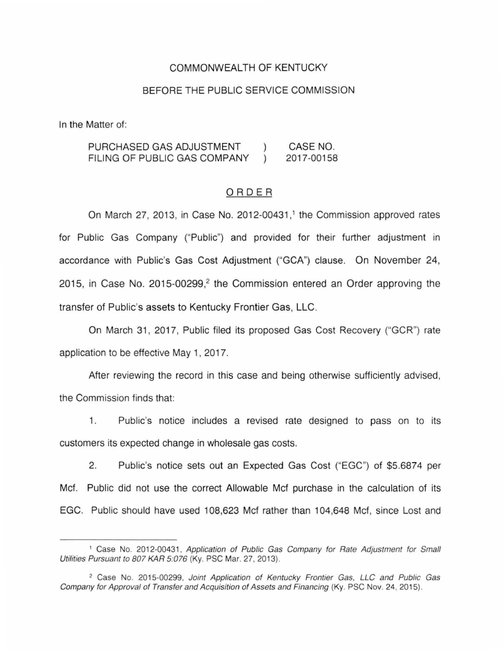# COMMONWEALTH OF KENTUCKY

### BEFORE THE PUBLIC SERVICE COMMISSION

In the Matter of:

PURCHASED GAS ADJUSTMENT  $\lambda$ CASE NO. FILING OF PUBLIC GAS COMPANY 2017-00158  $\lambda$ 

#### ORDER

On March 27, 2013, in Case No. 2012-00431,<sup>1</sup> the Commission approved rates for Public Gas Company ("Public") and provided for their further adjustment in accordance with Public's Gas Cost Adjustment ("GCA") clause. On November 24, 2015, in Case No. 2015-00299, $2$  the Commission entered an Order approving the transfer of Public's assets to Kentucky Frontier Gas, LLC.

On March 31, 2017, Public filed its proposed Gas Cost Recovery ("GCR") rate application to be effective May 1, 2017.

After reviewing the record in this case and being otherwise sufficiently advised, the Commission finds that:

1. Public's notice includes a revised rate designed to pass on to its customers its expected change in wholesale gas costs.

2. Public's notice sets out an Expected Gas Cost ("EGC") of \$5.6874 per Mcf. Public did not use the correct Allowable Mcf purchase in the calculation of its EGC. Public should have used 108,623 Mcf rather than 104,648 Mcf, since Lost and

<sup>&</sup>lt;sup>1</sup> Case No. 2012-00431, Application of Public Gas Company for Rate Adjustment for Small Utilities Pursuant to 807 KAR 5:076 (Ky. PSC Mar. 27, 2013).

<sup>&</sup>lt;sup>2</sup> Case No. 2015-00299, Joint Application of Kentucky Frontier Gas, LLC and Public Gas Company for Approval of Transfer and Acquisition of Assets and Financing (Ky. PSC Nov. 24, 2015).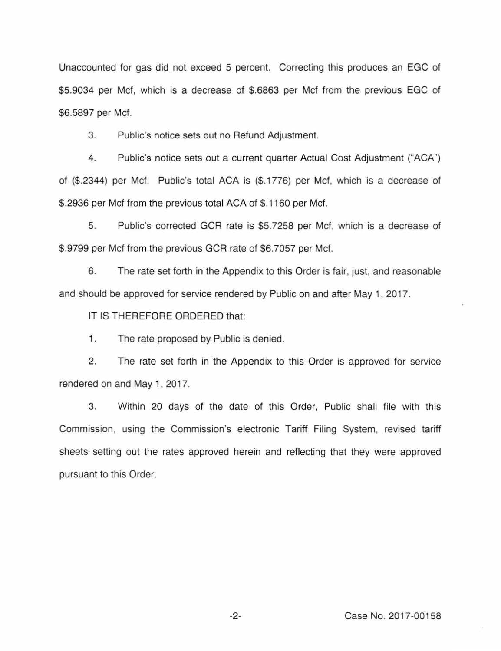Unaccounted for gas did not exceed 5 percent. Correcting this produces an EGC of \$5.9034 per Mcf, which is a decrease of \$.6863 per Mcf from the previous EGC of \$6.5897 per Mcf.

3. Public's notice sets out no Refund Adjustment.

4. Public's notice sets out a current quarter Actual Cost Adjustment ("ACA") of (\$.2344) per Mcf. Public's total ACA is (\$.1776) per Mcf, which is a decrease of \$.2936 per Mcf from the previous total ACA of \$.1160 per Mcf.

5. Public's corrected GCR rate is \$5.7258 per Mcf, which is a decrease of \$.9799 per Mcf from the previous GCR rate of \$6.7057 per Mcf.

6. The rate set forth in the Appendix to this Order is fair, just, and reasonable and should be approved for service rendered by Public on and after May 1, 2017.

IT IS THEREFORE ORDERED that:

1. The rate proposed by Public is denied.

2. The rate set forth in the Appendix to this Order is approved for service rendered on and May 1, 2017.

3. Within 20 days of the date of this Order, Public shall file with this Commission, using the Commission's electronic Tariff Filing System, revised tariff sheets setting out the rates approved herein and reflecting that they were approved pursuant to this Order.

-2- Case No. 2017-00158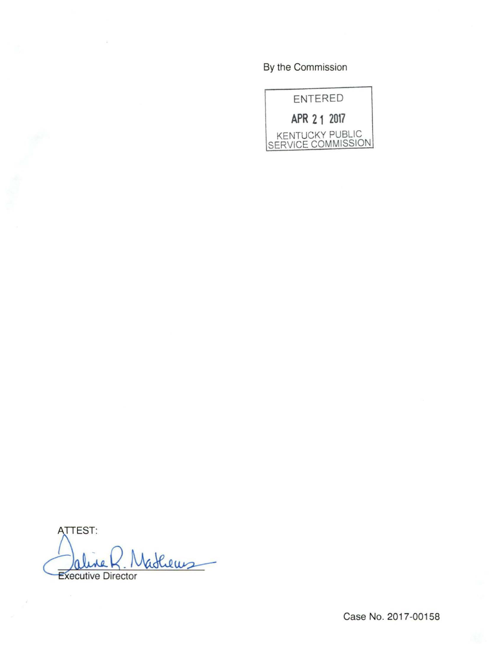By the Commission



ATTEST: Vatheus **Executive Director** 

Case No. 2017-00158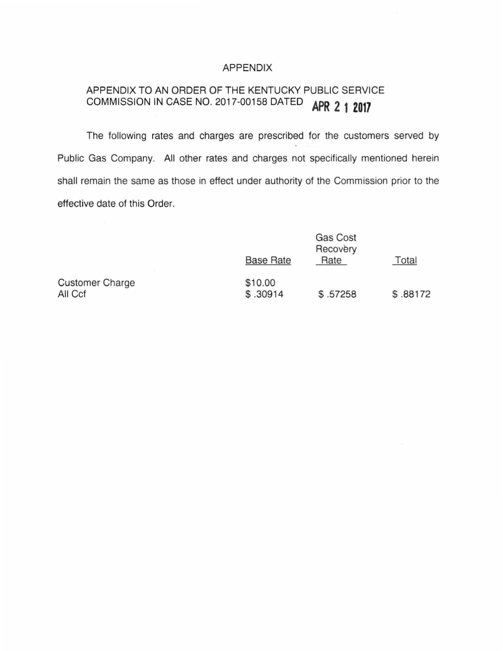## APPENDIX

# APPENDIX TO AN ORDER OF THE KENTUCKY PUBLIC SERVICE COMMISSION IN CASE NO. 2017-00158 DATED **APR 2 1 Z017**

The following rates and charges are prescribed for the customers served by Public Gas Company. All other rates and charges not specifically mentioned herein shall remain the same as those in effect under authority of the Commission prior to the effective date of this Order.

|                                   | <b>Base Rate</b>    | <b>Gas Cost</b><br>Recovery<br>Rate | Total    |
|-----------------------------------|---------------------|-------------------------------------|----------|
| <b>Customer Charge</b><br>All Ccf | \$10.00<br>\$.30914 | \$.57258                            | \$.88172 |